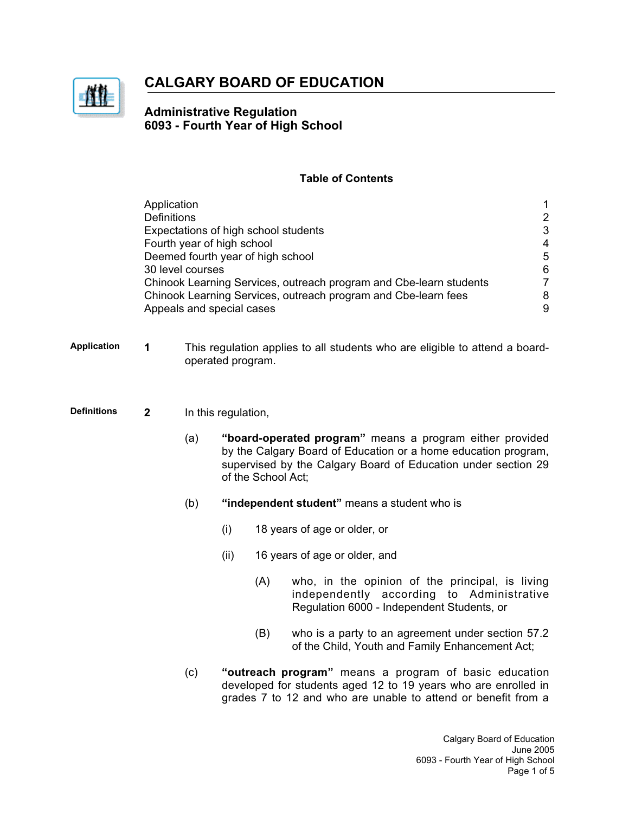

# **CALGARY BOARD OF EDUCATION**

## **Administrative Regulation 6093 - Fourth Year of High School**

### **Table of Contents**

|                    | <b>Definitions</b> | Application                                                                                      | Expectations of high school students<br>Fourth year of high school<br>Deemed fourth year of high school<br>30 level courses<br>Chinook Learning Services, outreach program and Cbe-learn students<br>Chinook Learning Services, outreach program and Cbe-learn fees<br>Appeals and special cases |                                              |                                                                                                                                                                                          |  |
|--------------------|--------------------|--------------------------------------------------------------------------------------------------|--------------------------------------------------------------------------------------------------------------------------------------------------------------------------------------------------------------------------------------------------------------------------------------------------|----------------------------------------------|------------------------------------------------------------------------------------------------------------------------------------------------------------------------------------------|--|
| <b>Application</b> | 1                  | This regulation applies to all students who are eligible to attend a board-<br>operated program. |                                                                                                                                                                                                                                                                                                  |                                              |                                                                                                                                                                                          |  |
| <b>Definitions</b> | $\overline{2}$     | In this regulation,                                                                              |                                                                                                                                                                                                                                                                                                  |                                              |                                                                                                                                                                                          |  |
|                    |                    | (a)                                                                                              | "board-operated program" means a program either provided<br>by the Calgary Board of Education or a home education program,<br>supervised by the Calgary Board of Education under section 29<br>of the School Act;                                                                                |                                              |                                                                                                                                                                                          |  |
|                    |                    | (b)                                                                                              |                                                                                                                                                                                                                                                                                                  | "independent student" means a student who is |                                                                                                                                                                                          |  |
|                    |                    |                                                                                                  | (i)                                                                                                                                                                                                                                                                                              |                                              | 18 years of age or older, or                                                                                                                                                             |  |
|                    |                    |                                                                                                  | (ii)                                                                                                                                                                                                                                                                                             |                                              | 16 years of age or older, and                                                                                                                                                            |  |
|                    |                    |                                                                                                  |                                                                                                                                                                                                                                                                                                  | (A)                                          | who, in the opinion of the principal, is living<br>independently according to Administrative<br>Regulation 6000 - Independent Students, or                                               |  |
|                    |                    |                                                                                                  |                                                                                                                                                                                                                                                                                                  | (B)                                          | who is a party to an agreement under section 57.2<br>of the Child, Youth and Family Enhancement Act;                                                                                     |  |
|                    |                    | (c)                                                                                              |                                                                                                                                                                                                                                                                                                  |                                              | "outreach program" means a program of basic education<br>developed for students aged 12 to 19 years who are enrolled in<br>grades 7 to 12 and who are unable to attend or benefit from a |  |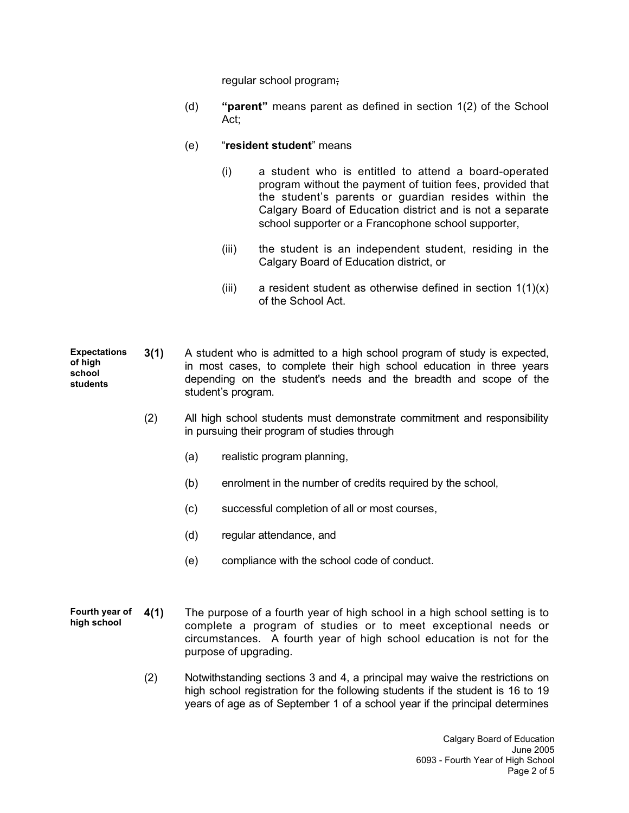regular school program;

(d) **"parent"** means parent as defined in section 1(2) of the School Act;

#### (e) "**resident student**" means

- (i) a student who is entitled to attend a board-operated program without the payment of tuition fees, provided that the student's parents or guardian resides within the Calgary Board of Education district and is not a separate school supporter or a Francophone school supporter,
- (iii) the student is an independent student, residing in the Calgary Board of Education district, or
- (iii) a resident student as otherwise defined in section  $1(1)(x)$ of the School Act.
- **Expectations of high school students 3(1)** A student who is admitted to a high school program of study is expected, in most cases, to complete their high school education in three years depending on the student's needs and the breadth and scope of the student's program.
	- (2) All high school students must demonstrate commitment and responsibility in pursuing their program of studies through
		- (a) realistic program planning,
		- (b) enrolment in the number of credits required by the school,
		- (c) successful completion of all or most courses,
		- (d) regular attendance, and
		- (e) compliance with the school code of conduct.
- **Fourth year of high school 4(1)** The purpose of a fourth year of high school in a high school setting is to complete a program of studies or to meet exceptional needs or circumstances. A fourth year of high school education is not for the purpose of upgrading.
	- (2) Notwithstanding sections 3 and 4, a principal may waive the restrictions on high school registration for the following students if the student is 16 to 19 years of age as of September 1 of a school year if the principal determines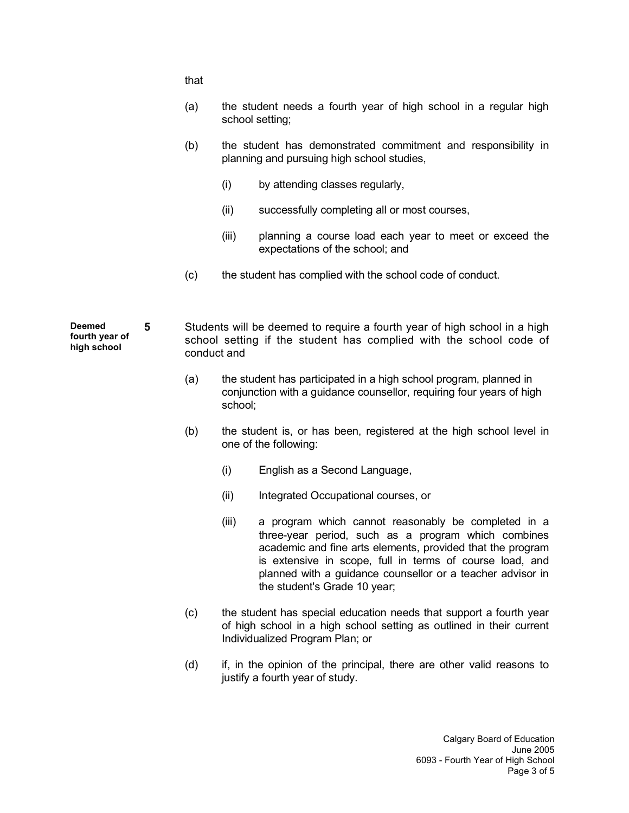that (a) the student needs a fourth year of high school in a regular high school setting; (b) the student has demonstrated commitment and responsibility in planning and pursuing high school studies, (i) by attending classes regularly, (ii) successfully completing all or most courses, (iii) planning a course load each year to meet or exceed the expectations of the school; and (c) the student has complied with the school code of conduct. **Deemed fourth year of high school 5** Students will be deemed to require a fourth year of high school in a high school setting if the student has complied with the school code of conduct and (a) the student has participated in a high school program, planned in conjunction with a guidance counsellor, requiring four years of high school; (b) the student is, or has been, registered at the high school level in one of the following: (i) English as a Second Language, (ii) Integrated Occupational courses, or (iii) a program which cannot reasonably be completed in a three-year period, such as a program which combines academic and fine arts elements, provided that the program is extensive in scope, full in terms of course load, and planned with a guidance counsellor or a teacher advisor in the student's Grade 10 year;

- (c) the student has special education needs that support a fourth year of high school in a high school setting as outlined in their current Individualized Program Plan; or
- (d) if, in the opinion of the principal, there are other valid reasons to justify a fourth year of study.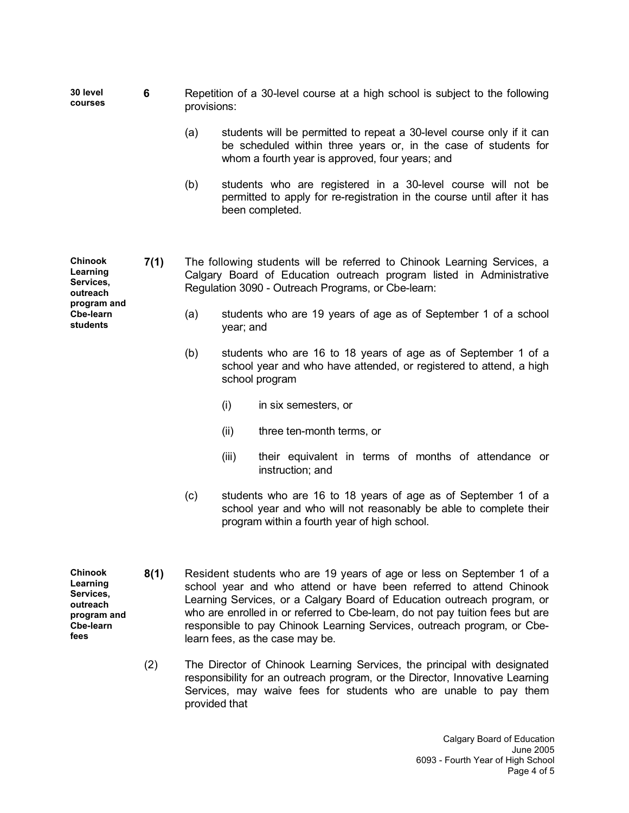**30 level courses 6** Repetition of a 30-level course at a high school is subject to the following provisions:

- (a) students will be permitted to repeat a 30-level course only if it can be scheduled within three years or, in the case of students for whom a fourth year is approved, four years; and
- (b) students who are registered in a 30-level course will not be permitted to apply for re-registration in the course until after it has been completed.
- **7(1)** The following students will be referred to Chinook Learning Services, a Calgary Board of Education outreach program listed in Administrative Regulation 3090 - Outreach Programs, or Cbe-learn:
	- (a) students who are 19 years of age as of September 1 of a school year; and
	- (b) students who are 16 to 18 years of age as of September 1 of a school year and who have attended, or registered to attend, a high school program
		- (i) in six semesters, or
		- (ii) three ten-month terms, or
		- (iii) their equivalent in terms of months of attendance or instruction; and
	- (c) students who are 16 to 18 years of age as of September 1 of a school year and who will not reasonably be able to complete their program within a fourth year of high school.
	- **8(1)** Resident students who are 19 years of age or less on September 1 of a school year and who attend or have been referred to attend Chinook Learning Services, or a Calgary Board of Education outreach program, or who are enrolled in or referred to Cbe-learn, do not pay tuition fees but are responsible to pay Chinook Learning Services, outreach program, or Cbelearn fees, as the case may be.
		- (2) The Director of Chinook Learning Services, the principal with designated responsibility for an outreach program, or the Director, Innovative Learning Services, may waive fees for students who are unable to pay them provided that

**Chinook Learning Services, outreach program and Cbe-learn students**

**Chinook Learning Services, outreach program and Cbe-learn**

**fees**